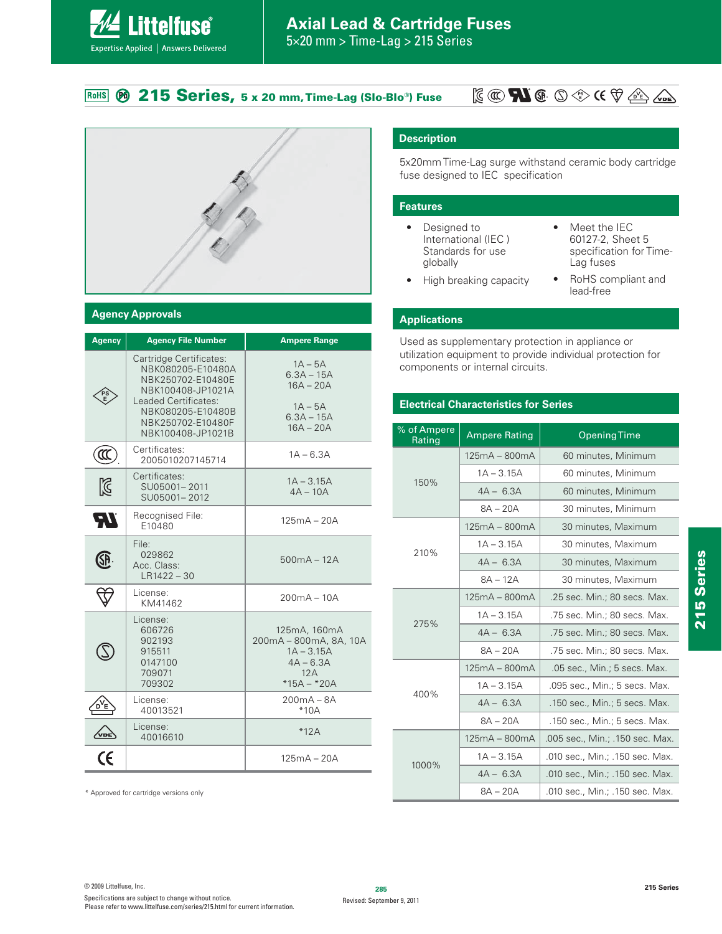# **215 Series, 5 x 20 mm, Time-Lag (Slo-Blo®) Fuse**

# **PS E**



# **Agency Approvals**

**Littelfuse**®

Expertise Applied | Answers Delivered

| <b>Agency</b>               | <b>Agency File Number</b>                                                                                                                                                     | <b>Ampere Range</b>                                                                           |
|-----------------------------|-------------------------------------------------------------------------------------------------------------------------------------------------------------------------------|-----------------------------------------------------------------------------------------------|
|                             | Cartridge Certificates:<br>NBK080205-E10480A<br>NBK250702-E10480E<br>NBK100408-JP1021A<br>Leaded Certificates:<br>NBK080205-E10480B<br>NBK250702-E10480F<br>NBK100408-JP1021B | $1A - 5A$<br>$6.3A - 15A$<br>$16A - 20A$<br>$1A - 5A$<br>$6.3A - 15A$<br>$16A - 20A$          |
| $\left(\mathfrak{A}\right)$ | Certificates:<br>2005010207145714                                                                                                                                             | $1A - 6.3A$                                                                                   |
| $\boxtimes$                 | Certificates:<br>SU05001-2011<br>SU05001-2012                                                                                                                                 | $1A - 3.15A$<br>$4A - 10A$                                                                    |
| ЧV                          | Recognised File:<br>E10480                                                                                                                                                    | $125mA - 20A$                                                                                 |
| <u>SP</u>                   | File:<br>029862<br>Acc. Class:<br>$LR1422 - 30$                                                                                                                               | $500mA - 12A$                                                                                 |
|                             | License:<br>KM41462                                                                                                                                                           | $200mA - 10A$                                                                                 |
|                             | License:<br>606726<br>902193<br>915511<br>0147100<br>709071<br>709302                                                                                                         | 125mA, 160mA<br>200mA - 800mA, 8A, 10A<br>$1A - 3.15A$<br>$4A - 6.3A$<br>12A<br>$*15A - *20A$ |
|                             | License:<br>40013521                                                                                                                                                          | $200mA - 8A$<br>$*10A$                                                                        |
|                             | License:<br>40016610                                                                                                                                                          | $*12A$                                                                                        |
|                             |                                                                                                                                                                               | $125mA - 20A$                                                                                 |

\* Approved for cartridge versions only

# **Description**

5x20mm Time-Lag surge withstand ceramic body cartridge fuse designed to IEC specification

#### **Features**

- Designed to International (IEC ) Standards for use globally
- $\bullet$  Meet the IEC 60127-2, Sheet 5 specification for Time-Lag fuses
- High breaking capacity
- RoHS compliant and lead-free

# **Applications**

Used as supplementary protection in appliance or utilization equipment to provide individual protection for components or internal circuits.

# **Electrical Characteristics for Series**

| % of Ampere<br>Rating | <b>Ampere Rating</b> | <b>Opening Time</b>             |  |  |  |  |
|-----------------------|----------------------|---------------------------------|--|--|--|--|
|                       | $125mA - 800mA$      | 60 minutes, Minimum             |  |  |  |  |
| 150%                  | $1A - 3.15A$         | 60 minutes, Minimum             |  |  |  |  |
|                       | $4A - 6.3A$          | 60 minutes, Minimum             |  |  |  |  |
|                       | $8A - 20A$           | 30 minutes, Minimum             |  |  |  |  |
|                       | $125mA - 800mA$      | 30 minutes, Maximum             |  |  |  |  |
| 210%                  | $1A - 3.15A$         | 30 minutes, Maximum             |  |  |  |  |
|                       | $4A - 6.3A$          | 30 minutes, Maximum             |  |  |  |  |
|                       | $8A - 12A$           | 30 minutes, Maximum             |  |  |  |  |
|                       | $125mA - 800mA$      | .25 sec. Min.; 80 secs. Max.    |  |  |  |  |
| 275%                  | $1A - 3.15A$         | .75 sec. Min.; 80 secs. Max.    |  |  |  |  |
|                       | $4A - 6.3A$          | .75 sec. Min.; 80 secs. Max.    |  |  |  |  |
|                       | $8A - 20A$           | .75 sec. Min.; 80 secs. Max.    |  |  |  |  |
|                       | $125mA - 800mA$      | .05 sec., Min.; 5 secs. Max.    |  |  |  |  |
| 400%                  | $1A - 3.15A$         | .095 sec., Min.; 5 secs. Max.   |  |  |  |  |
|                       | $4A - 6.3A$          | .150 sec., Min.; 5 secs. Max.   |  |  |  |  |
|                       | $8A - 20A$           | .150 sec., Min.; 5 secs. Max.   |  |  |  |  |
|                       | $125mA - 800mA$      | .005 sec., Min.; .150 sec. Max. |  |  |  |  |
| 1000%                 | $1A - 3.15A$         | .010 sec., Min.; .150 sec. Max. |  |  |  |  |
|                       | $4A - 6.3A$          | .010 sec., Min.; .150 sec. Max. |  |  |  |  |
|                       | $8A - 20A$           | .010 sec., Min.; .150 sec. Max. |  |  |  |  |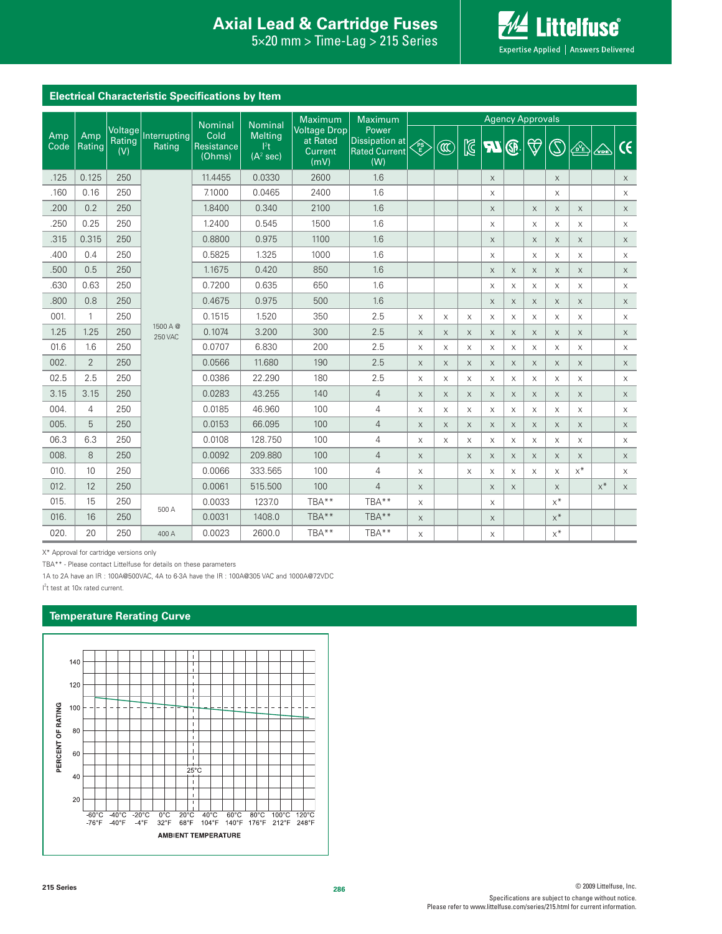# **Interproduction Interacts Axial Lead & Cartridge Fuses**

 $5\times20$  mm  $>$  Time-Lag  $>$  215 Series



| <b>Electrical Characteristic Specifications by Item</b> |                |                          |                            |                              |                                                     |                                                    |                                                        |           |                         |                           |             |             |                    |                                                           |                      |                        |                          |
|---------------------------------------------------------|----------------|--------------------------|----------------------------|------------------------------|-----------------------------------------------------|----------------------------------------------------|--------------------------------------------------------|-----------|-------------------------|---------------------------|-------------|-------------|--------------------|-----------------------------------------------------------|----------------------|------------------------|--------------------------|
|                                                         |                |                          |                            | Nominal                      | <b>Nominal</b>                                      | Maximum                                            | Maximum                                                |           | <b>Agency Approvals</b> |                           |             |             |                    |                                                           |                      |                        |                          |
| Amp<br>Code                                             | Amp<br>Rating  | Voltage<br>Rating<br>(V) | Interrupting<br>Rating     | Cold<br>Resistance<br>(Ohms) | <b>Melting</b><br>$ ^{2}t $<br>(A <sup>2</sup> sec) | <b>Voltage Drop</b><br>at Rated<br>Current<br>(mV) | Power<br>Dissipation at<br><b>Rated Current</b><br>(W) | <b>PS</b> | Œ                       | $\mathbb{Z}$              | <b>R</b>    | ®           | $\bigtriangledown$ | $\mathbb{C}% ^{2}/\mathbb{Z}^{2}\times\mathbb{C}_{n}^{2}$ | $\sqrt{\frac{1}{E}}$ | $\overline{\triangle}$ | $\overline{\mathcal{C}}$ |
| .125                                                    | 0.125          | 250                      |                            | 11.4455                      | 0.0330                                              | 2600                                               | 1.6                                                    |           |                         |                           | X           |             |                    | $\mathsf X$                                               |                      |                        | $\mathsf X$              |
| .160                                                    | 0.16           | 250                      |                            | 7.1000                       | 0.0465                                              | 2400                                               | 1.6                                                    |           |                         |                           | X           |             |                    | $\times$                                                  |                      |                        | $\mathsf X$              |
| .200                                                    | 0.2            | 250                      |                            | 1.8400                       | 0.340                                               | 2100                                               | 1.6                                                    |           |                         |                           | $\mathsf X$ |             | X                  | $\times$                                                  | X                    |                        | $\mathsf X$              |
| .250                                                    | 0.25           | 250                      |                            | 1.2400                       | 0.545                                               | 1500                                               | 1.6                                                    |           |                         |                           | X           |             | X                  | X                                                         | X                    |                        | $\mathsf X$              |
| .315                                                    | 0.315          | 250                      |                            | 0.8800                       | 0.975                                               | 1100                                               | 1.6                                                    |           |                         |                           | $\mathsf X$ |             | $\times$           | $\times$                                                  | $\mathsf X$          |                        | $\times$                 |
| .400                                                    | 0.4            | 250                      |                            | 0.5825                       | 1.325                                               | 1000                                               | 1.6                                                    |           |                         |                           | X           |             | X                  | $\times$                                                  | X                    |                        | $\mathsf X$              |
| .500                                                    | 0.5            | 250                      |                            | 1.1675                       | 0.420                                               | 850                                                | 1.6                                                    |           |                         |                           | $\times$    | $\times$    | X                  | $\times$                                                  | X                    |                        | $\mathsf X$              |
| .630                                                    | 0.63           | 250                      |                            | 0.7200                       | 0.635                                               | 650                                                | 1.6                                                    |           |                         |                           | X           | X           | X                  | $\times$                                                  | X                    |                        | $\mathsf X$              |
| .800                                                    | 0.8            | 250                      |                            | 0.4675                       | 0.975                                               | 500                                                | 1.6                                                    |           |                         |                           | $\mathsf X$ | X           | X                  | $\mathsf X$                                               | $\mathsf X$          |                        | $\times$                 |
| 001.                                                    | 1              | 250                      |                            | 0.1515                       | 1.520                                               | 350                                                | 2.5                                                    | X         | X                       | X                         | X           | X           | X                  | $\times$                                                  | X                    |                        | $\mathsf X$              |
| 1.25                                                    | 1.25           | 250                      | 1500 A @<br><b>250 VAC</b> | 0.1074                       | 3.200                                               | 300                                                | 2.5                                                    | $\times$  | $\times$                | $\times$                  | $\mathsf X$ | $\times$    | X                  | $\times$                                                  | X                    |                        | $\times$                 |
| 01.6                                                    | 1.6            | 250                      |                            | 0.0707                       | 6.830                                               | 200                                                | 2.5                                                    | X         | $\times$                | X                         | X           | X           | X                  | $\times$                                                  | X                    |                        | X                        |
| 002.                                                    | $\overline{2}$ | 250                      |                            | 0.0566                       | 11.680                                              | 190                                                | 2.5                                                    | X         | $\mathsf X$             | $\boldsymbol{\mathsf{X}}$ | $\mathsf X$ | $\mathsf X$ | $\mathsf X$        | $\mathsf X$                                               | $\mathsf X$          |                        | $\times$                 |
| 02.5                                                    | 2.5            | 250                      |                            | 0.0386                       | 22.290                                              | 180                                                | 2.5                                                    | X         | $\times$                | X                         | X           | X           | X                  | $\times$                                                  | X                    |                        | $\times$                 |
| 3.15                                                    | 3.15           | 250                      |                            | 0.0283                       | 43.255                                              | 140                                                | $\overline{4}$                                         | $\times$  | $\times$                | $\boldsymbol{\mathsf{X}}$ | $\times$    | $\times$    | $\mathsf X$        | $\times$                                                  | $\times$             |                        | $\times$                 |
| 004.                                                    | $\overline{4}$ | 250                      |                            | 0.0185                       | 46.960                                              | 100                                                | 4                                                      | X         | X                       | X                         | X           | X           | X                  | $\times$                                                  | X                    |                        | $\mathsf X$              |
| 005.                                                    | 5              | 250                      |                            | 0.0153                       | 66.095                                              | 100                                                | 4                                                      | X         | $\mathsf X$             | $\boldsymbol{\mathsf{X}}$ | $\mathsf X$ | $\mathsf X$ | X                  | $\mathsf X$                                               | $\mathsf X$          |                        | $\times$                 |
| 06.3                                                    | 6.3            | 250                      |                            | 0.0108                       | 128.750                                             | 100                                                | 4                                                      | X         | X                       | X                         | X           | X           | X                  | X                                                         | X                    |                        | $\times$                 |
| 008.                                                    | 8              | 250                      |                            | 0.0092                       | 209.880                                             | 100                                                | $\overline{4}$                                         | X         |                         | $\boldsymbol{\mathsf{X}}$ | $\mathsf X$ | $\mathsf X$ | X                  | $\times$                                                  | $\mathsf X$          |                        | $\times$                 |
| 010.                                                    | 10             | 250                      |                            | 0.0066                       | 333.565                                             | 100                                                | 4                                                      | X         |                         | X                         | X           | X           | X                  | X                                                         | $x^*$                |                        | $\times$                 |
| 012.                                                    | 12             | 250                      |                            | 0.0061                       | 515.500                                             | 100                                                | 4                                                      | X         |                         |                           | $\mathsf X$ | $\times$    |                    | $\mathsf X$                                               |                      | $x^*$                  | X                        |
| 015.                                                    | 15             | 250                      | 500 A                      | 0.0033                       | 1237.0                                              | TBA**                                              | TBA**                                                  | X         |                         |                           | X           |             |                    | $x^*$                                                     |                      |                        |                          |
| 016.                                                    | 16             | 250                      |                            | 0.0031                       | 1408.0                                              | TBA**                                              | TBA**                                                  | X         |                         |                           | $\mathsf X$ |             |                    | $x^*$                                                     |                      |                        |                          |
| 020.                                                    | 20             | 250                      | 400 A                      | 0.0023                       | 2600.0                                              | TBA**                                              | TBA**                                                  | X         |                         |                           | X           |             |                    | $x^*$                                                     |                      |                        |                          |

X\* Approval for cartridge versions only

TBA\*\* - Please contact Littelfuse for details on these parameters

1A to 2A have an IR: 100A@500VAC, 4A to 6-3A have the IR: 100A@305 VAC and 1000A@72VDC

I<sup>2</sup>t test at 10x rated current.

# **Temperature Rerating Curve**

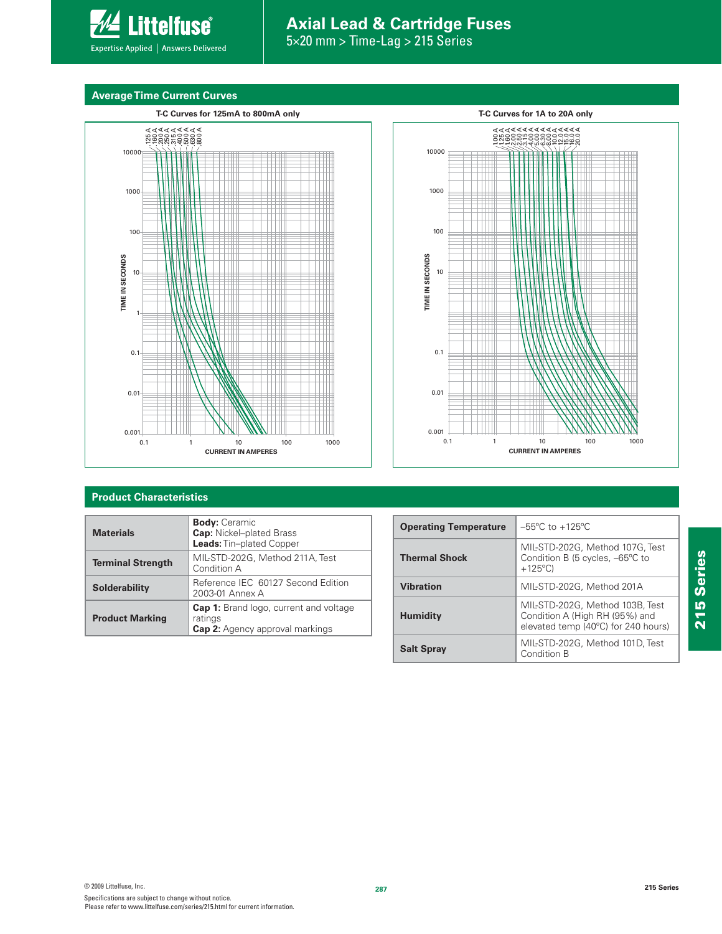

# **Axial Lead & Cartridge Fuses**

5×20 mm > Time-Lag > 215 Series

# **Average Time Current Curves**





# **Product Characteristics**

| <b>Materials</b>         | <b>Body: Ceramic</b><br><b>Cap:</b> Nickel-plated Brass<br>Leads: Tin-plated Copper                |
|--------------------------|----------------------------------------------------------------------------------------------------|
| <b>Terminal Strength</b> | MIL-STD-202G, Method 211A, Test<br>Condition A                                                     |
| <b>Solderability</b>     | Reference IEC 60127 Second Edition<br>2003-01 Annex A                                              |
| <b>Product Marking</b>   | <b>Cap 1:</b> Brand logo, current and voltage<br>ratings<br><b>Cap 2:</b> Agency approval markings |

| <b>Operating Temperature</b> | $-55^{\circ}$ C to $+125^{\circ}$ C                                                                      |
|------------------------------|----------------------------------------------------------------------------------------------------------|
| <b>Thermal Shock</b>         | MIL-STD-202G, Method 107G, Test<br>Condition B (5 cycles, -65°C to<br>$+125^{\circ}$ C)                  |
| <b>Vibration</b>             | MIL-STD-202G, Method 201A                                                                                |
| <b>Humidity</b>              | MIL-STD-202G, Method 103B, Test<br>Condition A (High RH (95%) and<br>elevated temp (40°C) for 240 hours) |
| <b>Salt Spray</b>            | MIL-STD-202G, Method 101D, Test<br>Condition B                                                           |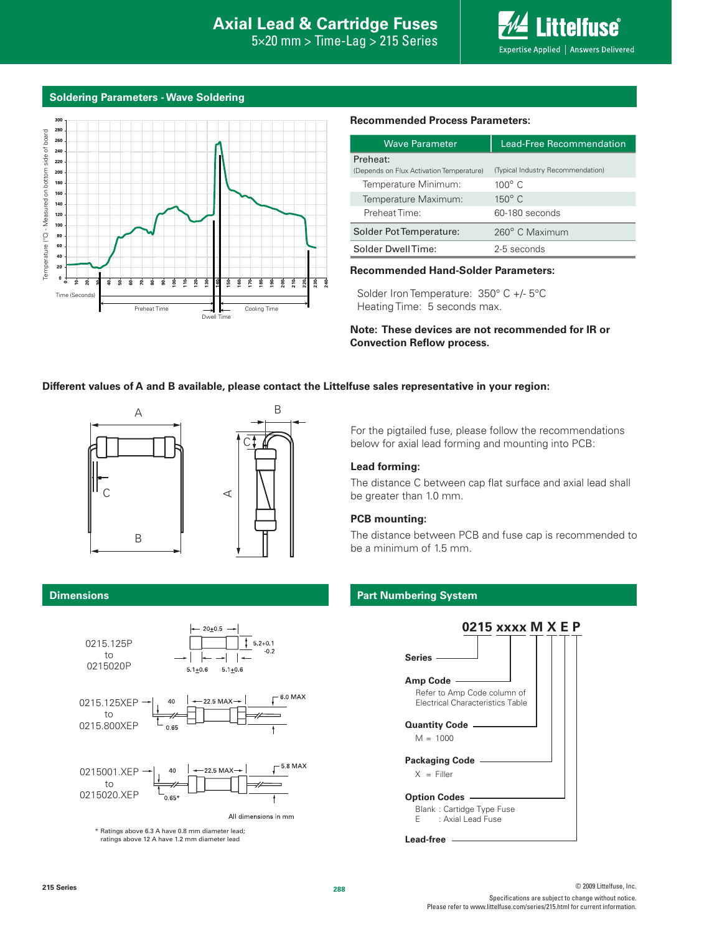$5\times20$  mm  $>$  Time-Lag  $>$  215 Series



# **Soldering Parameters - Wave Soldering**



#### **Recommended Process Parameters:**

| <b>Wave Parameter</b>                    | <b>Lead-Free Recommendation</b>   |  |  |  |  |
|------------------------------------------|-----------------------------------|--|--|--|--|
| Preheat:                                 |                                   |  |  |  |  |
| (Depends on Flux Activation Temperature) | (Typical Industry Recommendation) |  |  |  |  |
| Temperature Minimum:                     | $100^\circ$ C                     |  |  |  |  |
| Temperature Maximum:                     | $150^\circ$ C                     |  |  |  |  |
| Preheat Time:                            | 60-180 seconds                    |  |  |  |  |
| Solder Pot Temperature:                  | 260° C Maximum                    |  |  |  |  |
| Solder DwellTime:                        | 2-5 seconds                       |  |  |  |  |

#### **Recommended Hand-Solder Parameters:**

Solder Iron Temperature: 350° C +/- 5°C Heating Time: 5 seconds max.

**Note: These devices are not recommended for IR or Convection Reflow process.**

# **Different values of A and B available, please contact the Littelfuse sales representative in your region:**



For the pigtailed fuse, please follow the recommendations below for axial lead forming and mounting into PCB:

# **Lead forming:**

The distance C between cap flat surface and axial lead shall be greater than 1.0 mm.

### **PCB mounting:**

The distance between PCB and fuse cap is recommended to be a minimum of 1.5 mm.

### **Part Numbering System**



### **Dimensions**